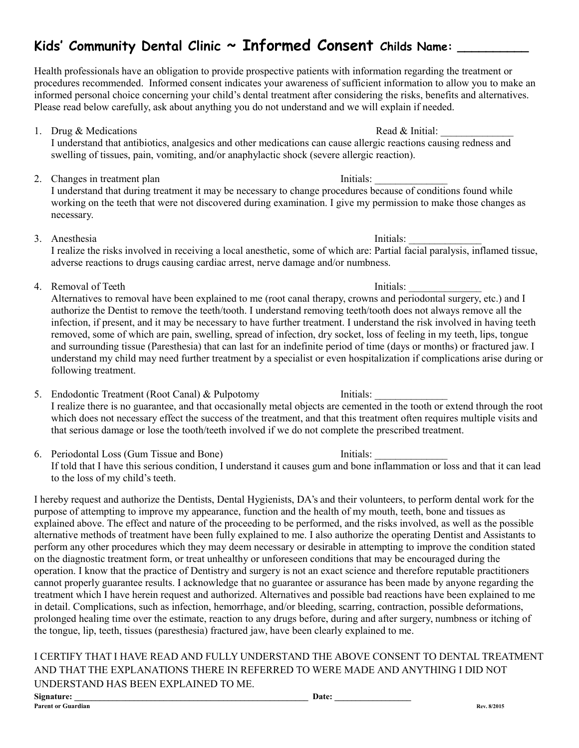### **Kids' Community Dental Clinic ~ Informed Consent Childs Name: \_\_\_\_\_\_\_\_\_\_**

Health professionals have an obligation to provide prospective patients with information regarding the treatment or procedures recommended. Informed consent indicates your awareness of sufficient information to allow you to make an informed personal choice concerning your child's dental treatment after considering the risks, benefits and alternatives. Please read below carefully, ask about anything you do not understand and we will explain if needed.

- 1. Drug & Medications  $\Box$  Read & Initial: I understand that antibiotics, analgesics and other medications can cause allergic reactions causing redness and swelling of tissues, pain, vomiting, and/or anaphylactic shock (severe allergic reaction).
- 2. Changes in treatment plan Initials: I understand that during treatment it may be necessary to change procedures because of conditions found while working on the teeth that were not discovered during examination. I give my permission to make those changes as necessary.
- 3. Anesthesia Initials:

I realize the risks involved in receiving a local anesthetic, some of which are: Partial facial paralysis, inflamed tissue, adverse reactions to drugs causing cardiac arrest, nerve damage and/or numbness.

4. Removal of Teeth Initials:

Alternatives to removal have been explained to me (root canal therapy, crowns and periodontal surgery, etc.) and I authorize the Dentist to remove the teeth/tooth. I understand removing teeth/tooth does not always remove all the infection, if present, and it may be necessary to have further treatment. I understand the risk involved in having teeth removed, some of which are pain, swelling, spread of infection, dry socket, loss of feeling in my teeth, lips, tongue and surrounding tissue (Paresthesia) that can last for an indefinite period of time (days or months) or fractured jaw. I understand my child may need further treatment by a specialist or even hospitalization if complications arise during or following treatment.

- 5. Endodontic Treatment (Root Canal) & Pulpotomy Initials: I realize there is no guarantee, and that occasionally metal objects are cemented in the tooth or extend through the root which does not necessary effect the success of the treatment, and that this treatment often requires multiple visits and that serious damage or lose the tooth/teeth involved if we do not complete the prescribed treatment.
- 6. Periodontal Loss (Gum Tissue and Bone) Initials: If told that I have this serious condition, I understand it causes gum and bone inflammation or loss and that it can lead to the loss of my child's teeth.

I hereby request and authorize the Dentists, Dental Hygienists, DA's and their volunteers, to perform dental work for the purpose of attempting to improve my appearance, function and the health of my mouth, teeth, bone and tissues as explained above. The effect and nature of the proceeding to be performed, and the risks involved, as well as the possible alternative methods of treatment have been fully explained to me. I also authorize the operating Dentist and Assistants to perform any other procedures which they may deem necessary or desirable in attempting to improve the condition stated on the diagnostic treatment form, or treat unhealthy or unforeseen conditions that may be encouraged during the operation. I know that the practice of Dentistry and surgery is not an exact science and therefore reputable practitioners cannot properly guarantee results. I acknowledge that no guarantee or assurance has been made by anyone regarding the treatment which I have herein request and authorized. Alternatives and possible bad reactions have been explained to me in detail. Complications, such as infection, hemorrhage, and/or bleeding, scarring, contraction, possible deformations, prolonged healing time over the estimate, reaction to any drugs before, during and after surgery, numbness or itching of the tongue, lip, teeth, tissues (paresthesia) fractured jaw, have been clearly explained to me.

I CERTIFY THAT I HAVE READ AND FULLY UNDERSTAND THE ABOVE CONSENT TO DENTAL TREATMENT AND THAT THE EXPLANATIONS THERE IN REFERRED TO WERE MADE AND ANYTHING I DID NOT UNDERSTAND HAS BEEN EXPLAINED TO ME.